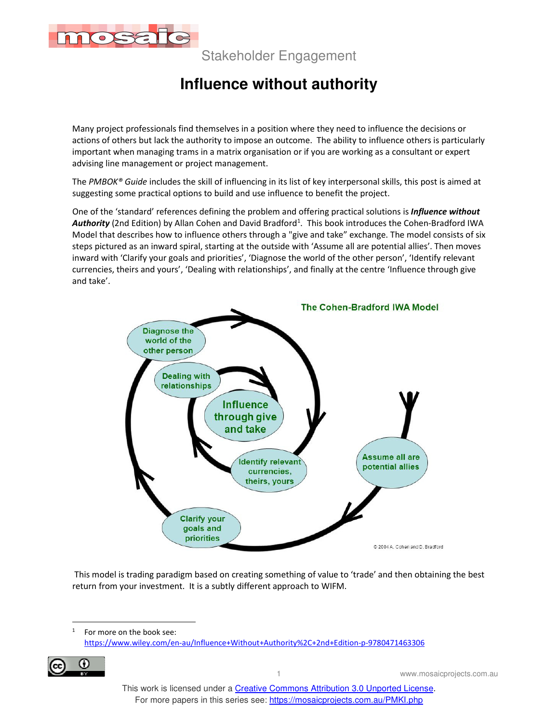

Stakeholder Engagement

## **Influence without authority**

Many project professionals find themselves in a position where they need to influence the decisions or actions of others but lack the authority to impose an outcome. The ability to influence others is particularly important when managing trams in a matrix organisation or if you are working as a consultant or expert advising line management or project management.

The *PMBOK® Guide* includes the skill of influencing in its list of key interpersonal skills, this post is aimed at suggesting some practical options to build and use influence to benefit the project.

One of the 'standard' references defining the problem and offering practical solutions is *Influence without*  Authority (2nd Edition) by Allan Cohen and David Bradford<sup>1</sup>. This book introduces the Cohen-Bradford IWA Model that describes how to influence others through a "give and take" exchange. The model consists of six steps pictured as an inward spiral, starting at the outside with 'Assume all are potential allies'. Then moves inward with 'Clarify your goals and priorities', 'Diagnose the world of the other person', 'Identify relevant currencies, theirs and yours', 'Dealing with relationships', and finally at the centre 'Influence through give and take'.



 This model is trading paradigm based on creating something of value to 'trade' and then obtaining the best return from your investment. It is a subtly different approach to WIFM.

<sup>1</sup> For more on the book see: https://www.wiley.com/en-au/Influence+Without+Authority%2C+2nd+Edition-p-9780471463306



1 www.mosaicprojects.com.au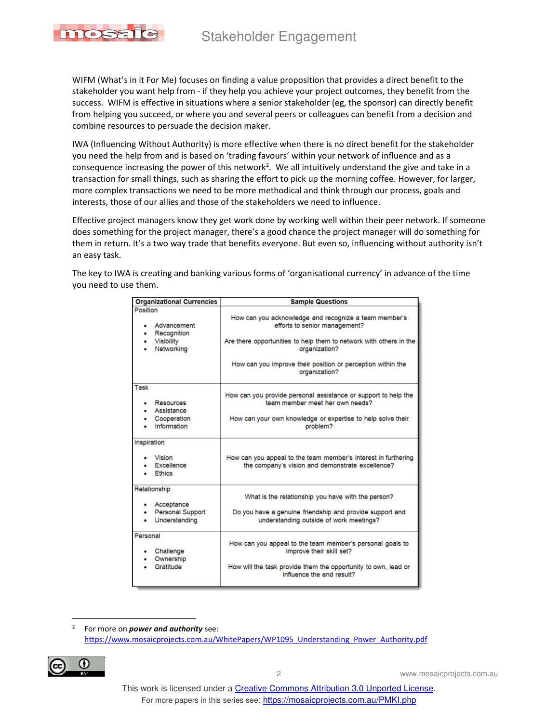## Stakeholder Engagement



WIFM (What's in it For Me) focuses on finding a value proposition that provides a direct benefit to the stakeholder you want help from - if they help you achieve your project outcomes, they benefit from the success. WIFM is effective in situations where a senior stakeholder (eg, the sponsor) can directly benefit from helping you succeed, or where you and several peers or colleagues can benefit from a decision and combine resources to persuade the decision maker.

IWA (Influencing Without Authority) is more effective when there is no direct benefit for the stakeholder you need the help from and is based on 'trading favours' within your network of influence and as a consequence increasing the power of this network<sup>2</sup>. We all intuitively understand the give and take in a transaction for small things, such as sharing the effort to pick up the morning coffee. However, for larger, more complex transactions we need to be more methodical and think through our process, goals and interests, those of our allies and those of the stakeholders we need to influence.

Effective project managers know they get work done by working well within their peer network. If someone does something for the project manager, there's a good chance the project manager will do something for them in return. It's a two way trade that benefits everyone. But even so, influencing without authority isn't an easy task.

The key to IWA is creating and banking various forms of 'organisational currency' in advance of the time you need to use them.

| <b>Organizational Currencies</b>         | <b>Sample Questions</b>                                                                                            |
|------------------------------------------|--------------------------------------------------------------------------------------------------------------------|
| Position                                 |                                                                                                                    |
| Advancement<br>Recognition               | How can you acknowledge and recognize a team member's<br>efforts to senior management?                             |
| <b>Visibility</b><br>٠<br>Networking     | Are there opportunities to help them to network with others in the<br>organization?                                |
|                                          | How can you improve their position or perception within the<br>organization?                                       |
| <b>Task</b>                              |                                                                                                                    |
| <b>Resources</b><br>Assistance           | How can you provide personal assistance or support to help the<br>team member meet her own needs?                  |
| Cooperation<br>Information               | How can your own knowledge or expertise to help solve their<br>problem?                                            |
| Inspiration                              |                                                                                                                    |
| Vision<br>Excellence<br><b>Ethics</b>    | How can you appeal to the team member's interest in furthering<br>the company's vision and demonstrate excellence? |
| Relationship                             |                                                                                                                    |
| Acceptance                               | What is the relationship you have with the person?                                                                 |
| <b>Personal Support</b><br>Understanding | Do you have a genuine friendship and provide support and<br>understanding outside of work meetings?                |
| Personal                                 |                                                                                                                    |
| Challenge<br>Ownership                   | How can you appeal to the team member's personal goals to<br>improve their skill set?                              |
| Gratitude                                | How will the task provide them the opportunity to own, lead or<br>influence the end result?                        |

2 For more on *power and authority* see: https://www.mosaicprojects.com.au/WhitePapers/WP1095\_Understanding\_Power\_Authority.pdf



2 www.mosaicprojects.com.au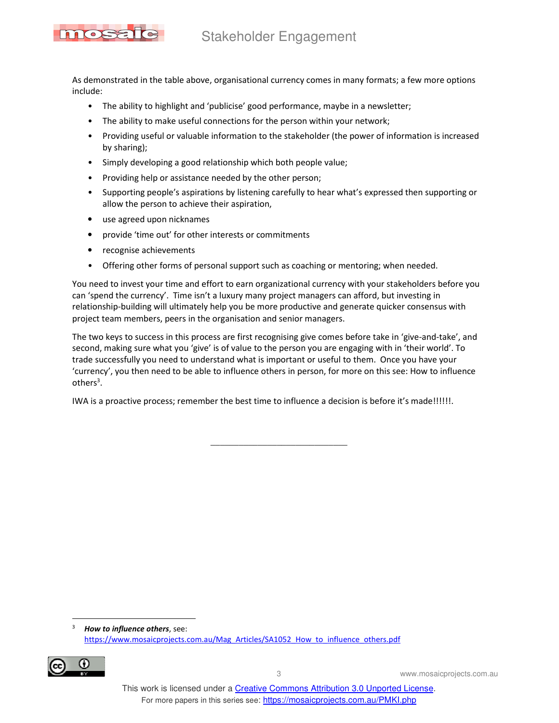

As demonstrated in the table above, organisational currency comes in many formats; a few more options include:

- The ability to highlight and 'publicise' good performance, maybe in a newsletter;
- The ability to make useful connections for the person within your network;
- Providing useful or valuable information to the stakeholder (the power of information is increased by sharing);
- Simply developing a good relationship which both people value;
- Providing help or assistance needed by the other person;
- Supporting people's aspirations by listening carefully to hear what's expressed then supporting or allow the person to achieve their aspiration,
- use agreed upon nicknames
- provide 'time out' for other interests or commitments
- recognise achievements
- Offering other forms of personal support such as coaching or mentoring; when needed.

You need to invest your time and effort to earn organizational currency with your stakeholders before you can 'spend the currency'. Time isn't a luxury many project managers can afford, but investing in relationship-building will ultimately help you be more productive and generate quicker consensus with project team members, peers in the organisation and senior managers.

The two keys to success in this process are first recognising give comes before take in 'give-and-take', and second, making sure what you 'give' is of value to the person you are engaging with in 'their world'. To trade successfully you need to understand what is important or useful to them. Once you have your 'currency', you then need to be able to influence others in person, for more on this see: How to influence others<sup>3</sup>.

\_\_\_\_\_\_\_\_\_\_\_\_\_\_\_\_\_\_\_\_\_\_\_\_\_\_\_\_\_

IWA is a proactive process; remember the best time to influence a decision is before it's made!!!!!!.

3 *How to influence others*, see: https://www.mosaicprojects.com.au/Mag\_Articles/SA1052\_How\_to\_influence\_others.pdf